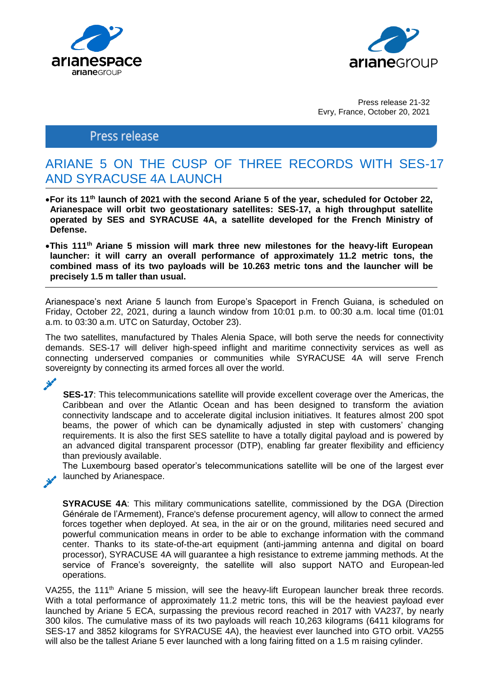



Press release 21-32 Evry, France, October 20, 2021

## Press release

# ARIANE 5 ON THE CUSP OF THREE RECORDS WITH SES-17 AND SYRACUSE 4A LAUNCH

- **For its 11th launch of 2021 with the second Ariane 5 of the year, scheduled for October 22, Arianespace will orbit two geostationary satellites: SES-17, a high throughput satellite operated by SES and SYRACUSE 4A, a satellite developed for the French Ministry of Defense.**
- **This 111th Ariane 5 mission will mark three new milestones for the heavy-lift European launcher: it will carry an overall performance of approximately 11.2 metric tons, the combined mass of its two payloads will be 10.263 metric tons and the launcher will be precisely 1.5 m taller than usual.**

Arianespace's next Ariane 5 launch from Europe's Spaceport in French Guiana, is scheduled on Friday, October 22, 2021, during a launch window from 10:01 p.m. to 00:30 a.m. local time (01:01 a.m. to 03:30 a.m. UTC on Saturday, October 23).

The two satellites, manufactured by Thales Alenia Space, will both serve the needs for connectivity demands. SES-17 will deliver high-speed inflight and maritime connectivity services as well as connecting underserved companies or communities while SYRACUSE 4A will serve French sovereignty by connecting its armed forces all over the world.

فمخرج

**SES-17:** This telecommunications satellite will provide excellent coverage over the Americas, the Caribbean and over the Atlantic Ocean and has been designed to transform the aviation connectivity landscape and to accelerate digital inclusion initiatives. It features almost 200 spot beams, the power of which can be dynamically adjusted in step with customers' changing requirements. It is also the first SES satellite to have a totally digital payload and is powered by an advanced digital transparent processor (DTP), enabling far greater flexibility and efficiency than previously available.

The Luxembourg based operator's telecommunications satellite will be one of the largest ever launched by Arianespace.

**SYRACUSE 4A**: This military communications satellite, commissioned by the DGA (Direction Générale de l'Armement), France's defense procurement agency, will allow to connect the armed forces together when deployed. At sea, in the air or on the ground, militaries need secured and powerful communication means in order to be able to exchange information with the command center. Thanks to its state-of-the-art equipment (anti-jamming antenna and digital on board processor), SYRACUSE 4A will guarantee a high resistance to extreme jamming methods. At the service of France's sovereignty, the satellite will also support NATO and European-led operations.

VA255, the 111<sup>th</sup> Ariane 5 mission, will see the heavy-lift European launcher break three records. With a total performance of approximately 11.2 metric tons, this will be the heaviest payload ever launched by Ariane 5 ECA, surpassing the previous record reached in 2017 with VA237, by nearly 300 kilos. The cumulative mass of its two payloads will reach 10,263 kilograms (6411 kilograms for SES-17 and 3852 kilograms for SYRACUSE 4A), the heaviest ever launched into GTO orbit. VA255 will also be the tallest Ariane 5 ever launched with a long fairing fitted on a 1.5 m raising cylinder.